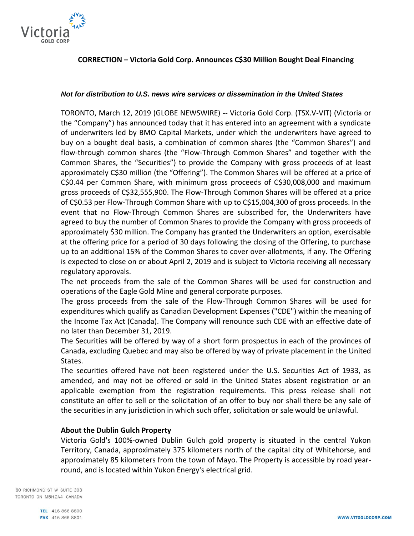

# **CORRECTION – Victoria Gold Corp. Announces C\$30 Million Bought Deal Financing**

### *Not for distribution to U.S. news wire services or dissemination in the United States*

TORONTO, March 12, 2019 (GLOBE NEWSWIRE) -- Victoria Gold Corp. (TSX.V-VIT) (Victoria or the "Company") has announced today that it has entered into an agreement with a syndicate of underwriters led by BMO Capital Markets, under which the underwriters have agreed to buy on a bought deal basis, a combination of common shares (the "Common Shares") and flow-through common shares (the "Flow-Through Common Shares" and together with the Common Shares, the "Securities") to provide the Company with gross proceeds of at least approximately C\$30 million (the "Offering"). The Common Shares will be offered at a price of C\$0.44 per Common Share, with minimum gross proceeds of C\$30,008,000 and maximum gross proceeds of C\$32,555,900. The Flow-Through Common Shares will be offered at a price of C\$0.53 per Flow-Through Common Share with up to C\$15,004,300 of gross proceeds. In the event that no Flow-Through Common Shares are subscribed for, the Underwriters have agreed to buy the number of Common Shares to provide the Company with gross proceeds of approximately \$30 million. The Company has granted the Underwriters an option, exercisable at the offering price for a period of 30 days following the closing of the Offering, to purchase up to an additional 15% of the Common Shares to cover over-allotments, if any. The Offering is expected to close on or about April 2, 2019 and is subject to Victoria receiving all necessary regulatory approvals.

The net proceeds from the sale of the Common Shares will be used for construction and operations of the Eagle Gold Mine and general corporate purposes.

The gross proceeds from the sale of the Flow-Through Common Shares will be used for expenditures which qualify as Canadian Development Expenses ("CDE") within the meaning of the Income Tax Act (Canada). The Company will renounce such CDE with an effective date of no later than December 31, 2019.

The Securities will be offered by way of a short form prospectus in each of the provinces of Canada, excluding Quebec and may also be offered by way of private placement in the United States.

The securities offered have not been registered under the U.S. Securities Act of 1933, as amended, and may not be offered or sold in the United States absent registration or an applicable exemption from the registration requirements. This press release shall not constitute an offer to sell or the solicitation of an offer to buy nor shall there be any sale of the securities in any jurisdiction in which such offer, solicitation or sale would be unlawful.

# **About the Dublin Gulch Property**

Victoria Gold's 100%-owned Dublin Gulch gold property is situated in the central Yukon Territory, Canada, approximately 375 kilometers north of the capital city of Whitehorse, and approximately 85 kilometers from the town of Mayo. The Property is accessible by road yearround, and is located within Yukon Energy's electrical grid.

80 RICHMOND ST W SUITE 303 TORONTO ON M5H 2A4 CANADA